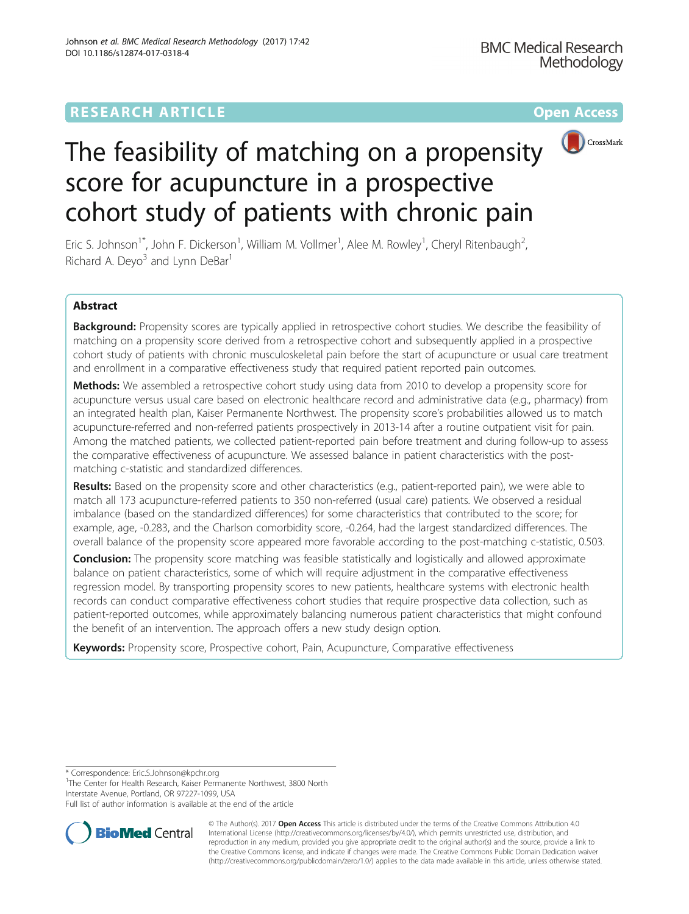# **RESEARCH ARTICLE Example 2014 12:30 The Community Community Community Community Community Community Community**



# The feasibility of matching on a propensity score for acupuncture in a prospective cohort study of patients with chronic pain

Eric S. Johnson<sup>1\*</sup>, John F. Dickerson<sup>1</sup>, William M. Vollmer<sup>1</sup>, Alee M. Rowley<sup>1</sup>, Cheryl Ritenbaugh<sup>2</sup> , Richard A. Deyo<sup>3</sup> and Lynn DeBar<sup>1</sup>

# Abstract

Background: Propensity scores are typically applied in retrospective cohort studies. We describe the feasibility of matching on a propensity score derived from a retrospective cohort and subsequently applied in a prospective cohort study of patients with chronic musculoskeletal pain before the start of acupuncture or usual care treatment and enrollment in a comparative effectiveness study that required patient reported pain outcomes.

Methods: We assembled a retrospective cohort study using data from 2010 to develop a propensity score for acupuncture versus usual care based on electronic healthcare record and administrative data (e.g., pharmacy) from an integrated health plan, Kaiser Permanente Northwest. The propensity score's probabilities allowed us to match acupuncture-referred and non-referred patients prospectively in 2013-14 after a routine outpatient visit for pain. Among the matched patients, we collected patient-reported pain before treatment and during follow-up to assess the comparative effectiveness of acupuncture. We assessed balance in patient characteristics with the postmatching c-statistic and standardized differences.

Results: Based on the propensity score and other characteristics (e.g., patient-reported pain), we were able to match all 173 acupuncture-referred patients to 350 non-referred (usual care) patients. We observed a residual imbalance (based on the standardized differences) for some characteristics that contributed to the score; for example, age, -0.283, and the Charlson comorbidity score, -0.264, had the largest standardized differences. The overall balance of the propensity score appeared more favorable according to the post-matching c-statistic, 0.503.

**Conclusion:** The propensity score matching was feasible statistically and logistically and allowed approximate balance on patient characteristics, some of which will require adjustment in the comparative effectiveness regression model. By transporting propensity scores to new patients, healthcare systems with electronic health records can conduct comparative effectiveness cohort studies that require prospective data collection, such as patient-reported outcomes, while approximately balancing numerous patient characteristics that might confound the benefit of an intervention. The approach offers a new study design option.

Keywords: Propensity score, Prospective cohort, Pain, Acupuncture, Comparative effectiveness

\* Correspondence: [Eric.S.Johnson@kpchr.org](mailto:Eric.S.Johnson@kpchr.org) <sup>1</sup>

<sup>1</sup>The Center for Health Research, Kaiser Permanente Northwest, 3800 North Interstate Avenue, Portland, OR 97227-1099, USA

Full list of author information is available at the end of the article



© The Author(s). 2017 **Open Access** This article is distributed under the terms of the Creative Commons Attribution 4.0 International License [\(http://creativecommons.org/licenses/by/4.0/](http://creativecommons.org/licenses/by/4.0/)), which permits unrestricted use, distribution, and reproduction in any medium, provided you give appropriate credit to the original author(s) and the source, provide a link to the Creative Commons license, and indicate if changes were made. The Creative Commons Public Domain Dedication waiver [\(http://creativecommons.org/publicdomain/zero/1.0/](http://creativecommons.org/publicdomain/zero/1.0/)) applies to the data made available in this article, unless otherwise stated.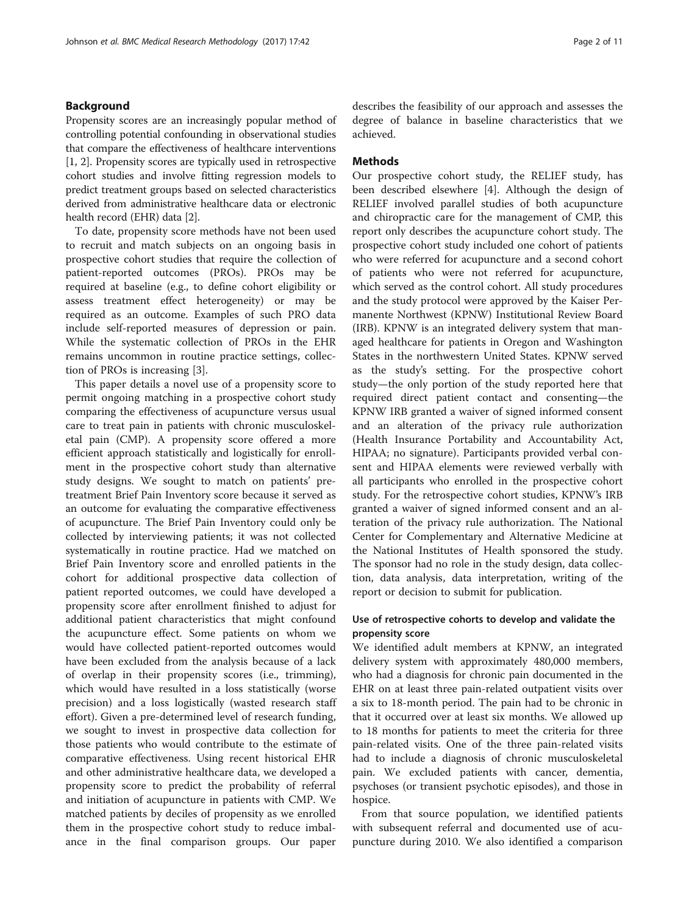# Background

Propensity scores are an increasingly popular method of controlling potential confounding in observational studies that compare the effectiveness of healthcare interventions [[1, 2](#page-9-0)]. Propensity scores are typically used in retrospective cohort studies and involve fitting regression models to predict treatment groups based on selected characteristics derived from administrative healthcare data or electronic health record (EHR) data [[2\]](#page-9-0).

To date, propensity score methods have not been used to recruit and match subjects on an ongoing basis in prospective cohort studies that require the collection of patient-reported outcomes (PROs). PROs may be required at baseline (e.g., to define cohort eligibility or assess treatment effect heterogeneity) or may be required as an outcome. Examples of such PRO data include self-reported measures of depression or pain. While the systematic collection of PROs in the EHR remains uncommon in routine practice settings, collection of PROs is increasing [[3](#page-9-0)].

This paper details a novel use of a propensity score to permit ongoing matching in a prospective cohort study comparing the effectiveness of acupuncture versus usual care to treat pain in patients with chronic musculoskeletal pain (CMP). A propensity score offered a more efficient approach statistically and logistically for enrollment in the prospective cohort study than alternative study designs. We sought to match on patients' pretreatment Brief Pain Inventory score because it served as an outcome for evaluating the comparative effectiveness of acupuncture. The Brief Pain Inventory could only be collected by interviewing patients; it was not collected systematically in routine practice. Had we matched on Brief Pain Inventory score and enrolled patients in the cohort for additional prospective data collection of patient reported outcomes, we could have developed a propensity score after enrollment finished to adjust for additional patient characteristics that might confound the acupuncture effect. Some patients on whom we would have collected patient-reported outcomes would have been excluded from the analysis because of a lack of overlap in their propensity scores (i.e., trimming), which would have resulted in a loss statistically (worse precision) and a loss logistically (wasted research staff effort). Given a pre-determined level of research funding, we sought to invest in prospective data collection for those patients who would contribute to the estimate of comparative effectiveness. Using recent historical EHR and other administrative healthcare data, we developed a propensity score to predict the probability of referral and initiation of acupuncture in patients with CMP. We matched patients by deciles of propensity as we enrolled them in the prospective cohort study to reduce imbalance in the final comparison groups. Our paper

describes the feasibility of our approach and assesses the degree of balance in baseline characteristics that we achieved.

## **Methods**

Our prospective cohort study, the RELIEF study, has been described elsewhere [[4\]](#page-10-0). Although the design of RELIEF involved parallel studies of both acupuncture and chiropractic care for the management of CMP, this report only describes the acupuncture cohort study. The prospective cohort study included one cohort of patients who were referred for acupuncture and a second cohort of patients who were not referred for acupuncture, which served as the control cohort. All study procedures and the study protocol were approved by the Kaiser Permanente Northwest (KPNW) Institutional Review Board (IRB). KPNW is an integrated delivery system that managed healthcare for patients in Oregon and Washington States in the northwestern United States. KPNW served as the study's setting. For the prospective cohort study—the only portion of the study reported here that required direct patient contact and consenting—the KPNW IRB granted a waiver of signed informed consent and an alteration of the privacy rule authorization (Health Insurance Portability and Accountability Act, HIPAA; no signature). Participants provided verbal consent and HIPAA elements were reviewed verbally with all participants who enrolled in the prospective cohort study. For the retrospective cohort studies, KPNW's IRB granted a waiver of signed informed consent and an alteration of the privacy rule authorization. The National Center for Complementary and Alternative Medicine at the National Institutes of Health sponsored the study. The sponsor had no role in the study design, data collection, data analysis, data interpretation, writing of the report or decision to submit for publication.

# Use of retrospective cohorts to develop and validate the propensity score

We identified adult members at KPNW, an integrated delivery system with approximately 480,000 members, who had a diagnosis for chronic pain documented in the EHR on at least three pain-related outpatient visits over a six to 18-month period. The pain had to be chronic in that it occurred over at least six months. We allowed up to 18 months for patients to meet the criteria for three pain-related visits. One of the three pain-related visits had to include a diagnosis of chronic musculoskeletal pain. We excluded patients with cancer, dementia, psychoses (or transient psychotic episodes), and those in hospice.

From that source population, we identified patients with subsequent referral and documented use of acupuncture during 2010. We also identified a comparison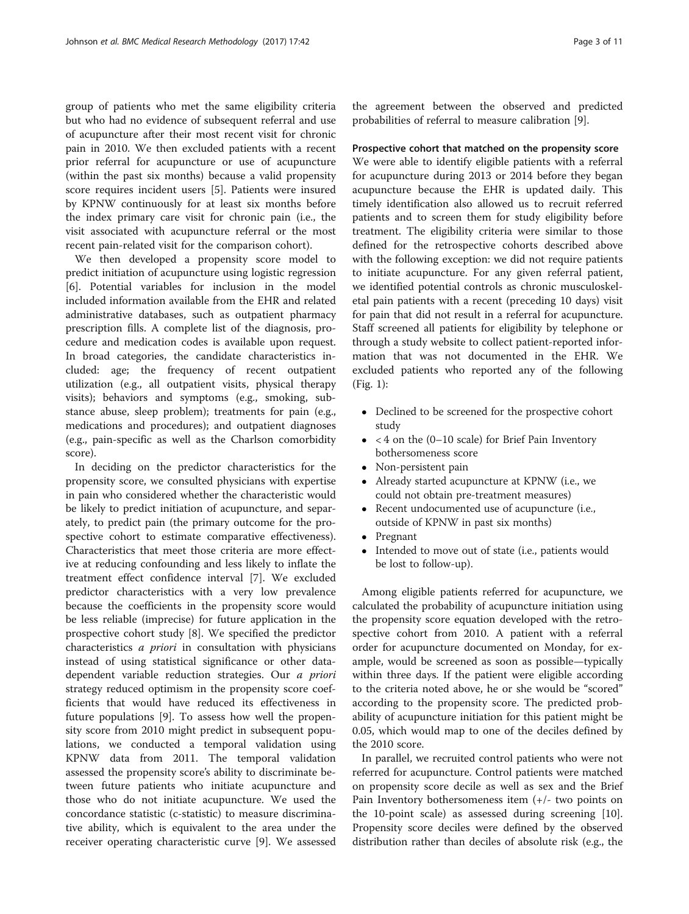group of patients who met the same eligibility criteria but who had no evidence of subsequent referral and use of acupuncture after their most recent visit for chronic pain in 2010. We then excluded patients with a recent prior referral for acupuncture or use of acupuncture (within the past six months) because a valid propensity score requires incident users [\[5](#page-10-0)]. Patients were insured by KPNW continuously for at least six months before the index primary care visit for chronic pain (i.e., the visit associated with acupuncture referral or the most recent pain-related visit for the comparison cohort).

We then developed a propensity score model to predict initiation of acupuncture using logistic regression [[6\]](#page-10-0). Potential variables for inclusion in the model included information available from the EHR and related administrative databases, such as outpatient pharmacy prescription fills. A complete list of the diagnosis, procedure and medication codes is available upon request. In broad categories, the candidate characteristics included: age; the frequency of recent outpatient utilization (e.g., all outpatient visits, physical therapy visits); behaviors and symptoms (e.g., smoking, substance abuse, sleep problem); treatments for pain (e.g., medications and procedures); and outpatient diagnoses (e.g., pain-specific as well as the Charlson comorbidity score).

In deciding on the predictor characteristics for the propensity score, we consulted physicians with expertise in pain who considered whether the characteristic would be likely to predict initiation of acupuncture, and separately, to predict pain (the primary outcome for the prospective cohort to estimate comparative effectiveness). Characteristics that meet those criteria are more effective at reducing confounding and less likely to inflate the treatment effect confidence interval [[7\]](#page-10-0). We excluded predictor characteristics with a very low prevalence because the coefficients in the propensity score would be less reliable (imprecise) for future application in the prospective cohort study [[8\]](#page-10-0). We specified the predictor characteristics a priori in consultation with physicians instead of using statistical significance or other datadependent variable reduction strategies. Our a priori strategy reduced optimism in the propensity score coefficients that would have reduced its effectiveness in future populations [[9\]](#page-10-0). To assess how well the propensity score from 2010 might predict in subsequent populations, we conducted a temporal validation using KPNW data from 2011. The temporal validation assessed the propensity score's ability to discriminate between future patients who initiate acupuncture and those who do not initiate acupuncture. We used the concordance statistic (c-statistic) to measure discriminative ability, which is equivalent to the area under the receiver operating characteristic curve [\[9\]](#page-10-0). We assessed

the agreement between the observed and predicted probabilities of referral to measure calibration [\[9](#page-10-0)].

# Prospective cohort that matched on the propensity score

We were able to identify eligible patients with a referral for acupuncture during 2013 or 2014 before they began acupuncture because the EHR is updated daily. This timely identification also allowed us to recruit referred patients and to screen them for study eligibility before treatment. The eligibility criteria were similar to those defined for the retrospective cohorts described above with the following exception: we did not require patients to initiate acupuncture. For any given referral patient, we identified potential controls as chronic musculoskeletal pain patients with a recent (preceding 10 days) visit for pain that did not result in a referral for acupuncture. Staff screened all patients for eligibility by telephone or through a study website to collect patient-reported information that was not documented in the EHR. We excluded patients who reported any of the following (Fig. [1](#page-3-0)):

- Declined to be screened for the prospective cohort study
- < 4 on the (0–10 scale) for Brief Pain Inventory bothersomeness score
- Non-persistent pain
- Already started acupuncture at KPNW (i.e., we could not obtain pre-treatment measures)
- Recent undocumented use of acupuncture (i.e., outside of KPNW in past six months)
- Pregnant
- Intended to move out of state (i.e., patients would be lost to follow-up).

Among eligible patients referred for acupuncture, we calculated the probability of acupuncture initiation using the propensity score equation developed with the retrospective cohort from 2010. A patient with a referral order for acupuncture documented on Monday, for example, would be screened as soon as possible—typically within three days. If the patient were eligible according to the criteria noted above, he or she would be "scored" according to the propensity score. The predicted probability of acupuncture initiation for this patient might be 0.05, which would map to one of the deciles defined by the 2010 score.

In parallel, we recruited control patients who were not referred for acupuncture. Control patients were matched on propensity score decile as well as sex and the Brief Pain Inventory bothersomeness item (+/- two points on the 10-point scale) as assessed during screening [\[10](#page-10-0)]. Propensity score deciles were defined by the observed distribution rather than deciles of absolute risk (e.g., the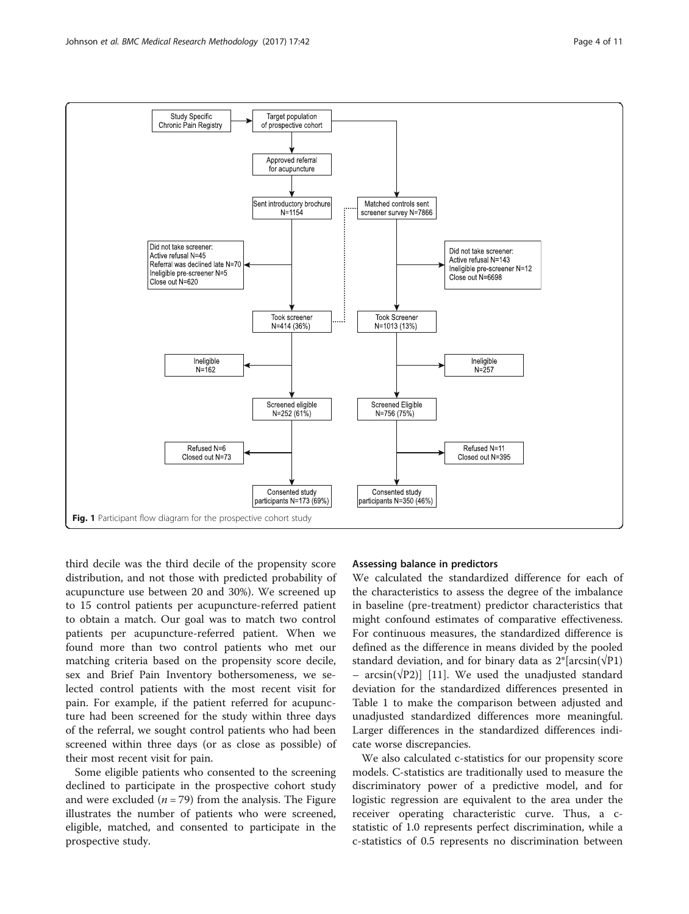<span id="page-3-0"></span>

third decile was the third decile of the propensity score distribution, and not those with predicted probability of acupuncture use between 20 and 30%). We screened up to 15 control patients per acupuncture-referred patient to obtain a match. Our goal was to match two control patients per acupuncture-referred patient. When we found more than two control patients who met our matching criteria based on the propensity score decile, sex and Brief Pain Inventory bothersomeness, we selected control patients with the most recent visit for pain. For example, if the patient referred for acupuncture had been screened for the study within three days of the referral, we sought control patients who had been screened within three days (or as close as possible) of their most recent visit for pain.

Some eligible patients who consented to the screening declined to participate in the prospective cohort study and were excluded  $(n = 79)$  from the analysis. The Figure illustrates the number of patients who were screened, eligible, matched, and consented to participate in the prospective study.

#### Assessing balance in predictors

We calculated the standardized difference for each of the characteristics to assess the degree of the imbalance in baseline (pre-treatment) predictor characteristics that might confound estimates of comparative effectiveness. For continuous measures, the standardized difference is defined as the difference in means divided by the pooled standard deviation, and for binary data as  $2^*$ [arcsin( $\sqrt{P1}$ ) –  $arcsin(\sqrt{P2})$  [\[11](#page-10-0)]. We used the unadjusted standard deviation for the standardized differences presented in Table [1](#page-4-0) to make the comparison between adjusted and unadjusted standardized differences more meaningful. Larger differences in the standardized differences indicate worse discrepancies.

We also calculated c-statistics for our propensity score models. C-statistics are traditionally used to measure the discriminatory power of a predictive model, and for logistic regression are equivalent to the area under the receiver operating characteristic curve. Thus, a cstatistic of 1.0 represents perfect discrimination, while a c-statistics of 0.5 represents no discrimination between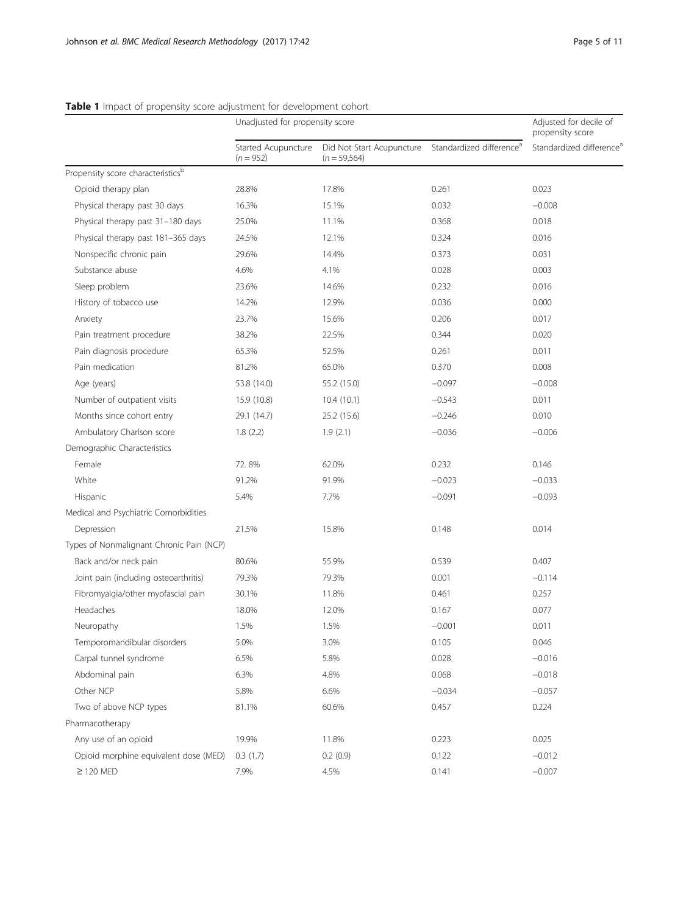| stment for development cohort      |                                              |                                      |                                            |
|------------------------------------|----------------------------------------------|--------------------------------------|--------------------------------------------|
| Unadjusted for propensity score    |                                              |                                      | Adjusted for decile of<br>propensity score |
| Started Acupuncture<br>$(n = 952)$ | Did Not Start Acupuncture<br>$(n = 59, 564)$ | Standardized difference <sup>a</sup> | Standardized difference <sup>a</sup>       |
|                                    |                                              |                                      |                                            |
| 28.8%                              | 17.8%                                        | 0.261                                | 0.023                                      |
| 16.3%                              | 15.1%                                        | 0.032                                | $-0.008$                                   |
| 25.0%                              | 11.1%                                        | 0.368                                | 0.018                                      |
| 24.5%                              | 12.1%                                        | 0.324                                | 0.016                                      |
| 29.6%                              | 14.4%                                        | 0.373                                | 0.031                                      |

# <span id="page-4-0"></span>Table 1 Impact of propensity score adjustme

|                                               | Started Acupuncture<br>$(n = 952)$ | Did Not Start Acupuncture<br>$(n = 59, 564)$ | Standardized difference <sup>a</sup> | Standardized d |
|-----------------------------------------------|------------------------------------|----------------------------------------------|--------------------------------------|----------------|
| Propensity score characteristics <sup>b</sup> |                                    |                                              |                                      |                |
| Opioid therapy plan                           | 28.8%                              | 17.8%                                        | 0.261                                | 0.023          |
| Physical therapy past 30 days                 | 16.3%                              | 15.1%                                        | 0.032                                | $-0.008$       |
| Physical therapy past 31-180 days             | 25.0%                              | 11.1%                                        | 0.368                                | 0.018          |
| Physical therapy past 181-365 days            | 24.5%                              | 12.1%                                        | 0.324                                | 0.016          |
| Nonspecific chronic pain                      | 29.6%                              | 14.4%                                        | 0.373                                | 0.031          |
| Substance abuse                               | 4.6%                               | 4.1%                                         | 0.028                                | 0.003          |
| Sleep problem                                 | 23.6%                              | 14.6%                                        | 0.232                                | 0.016          |
| History of tobacco use                        | 14.2%                              | 12.9%                                        | 0.036                                | 0.000          |
| Anxiety                                       | 23.7%                              | 15.6%                                        | 0.206                                | 0.017          |
| Pain treatment procedure                      | 38.2%                              | 22.5%                                        | 0.344                                | 0.020          |
| Pain diagnosis procedure                      | 65.3%                              | 52.5%                                        | 0.261                                | 0.011          |
| Pain medication                               | 81.2%                              | 65.0%                                        | 0.370                                | 0.008          |
| Age (years)                                   | 53.8 (14.0)                        | 55.2 (15.0)                                  | $-0.097$                             | $-0.008$       |
| Number of outpatient visits                   | 15.9 (10.8)                        | 10.4(10.1)                                   | $-0.543$                             | 0.011          |
| Months since cohort entry                     | 29.1 (14.7)                        | 25.2 (15.6)                                  | $-0.246$                             | 0.010          |
| Ambulatory Charlson score                     | 1.8(2.2)                           | 1.9(2.1)                                     | $-0.036$                             | $-0.006$       |
| Demographic Characteristics                   |                                    |                                              |                                      |                |
| Female                                        | 72.8%                              | 62.0%                                        | 0.232                                | 0.146          |
| White                                         | 91.2%                              | 91.9%                                        | $-0.023$                             | $-0.033$       |
| Hispanic                                      | 5.4%                               | 7.7%                                         | $-0.091$                             | $-0.093$       |
| Medical and Psychiatric Comorbidities         |                                    |                                              |                                      |                |
| Depression                                    | 21.5%                              | 15.8%                                        | 0.148                                | 0.014          |
| Types of Nonmalignant Chronic Pain (NCP)      |                                    |                                              |                                      |                |
| Back and/or neck pain                         | 80.6%                              | 55.9%                                        | 0.539                                | 0.407          |
| Joint pain (including osteoarthritis)         | 79.3%                              | 79.3%                                        | 0.001                                | $-0.114$       |
| Fibromyalgia/other myofascial pain            | 30.1%                              | 11.8%                                        | 0.461                                | 0.257          |
| Headaches                                     | 18.0%                              | 12.0%                                        | 0.167                                | 0.077          |
| Neuropathy                                    | 1.5%                               | 1.5%                                         | $-0.001$                             | 0.011          |
| Temporomandibular disorders                   | 5.0%                               | 3.0%                                         | 0.105                                | 0.046          |
| Carpal tunnel syndrome                        | 6.5%                               | 5.8%                                         | 0.028                                | $-0.016$       |
| Abdominal pain                                | 6.3%                               | 4.8%                                         | 0.068                                | $-0.018$       |
| Other NCP                                     | 5.8%                               | 6.6%                                         | $-0.034$                             | $-0.057$       |
| Two of above NCP types                        | 81.1%                              | 60.6%                                        | 0.457                                | 0.224          |
| Pharmacotherapy                               |                                    |                                              |                                      |                |
| Any use of an opioid                          | 19.9%                              | 11.8%                                        | 0.223                                | 0.025          |
| Opioid morphine equivalent dose (MED)         | 0.3(1.7)                           | 0.2(0.9)                                     | 0.122                                | $-0.012$       |
| $\geq$ 120 MED                                | 7.9%                               | 4.5%                                         | 0.141                                | $-0.007$       |
|                                               |                                    |                                              |                                      |                |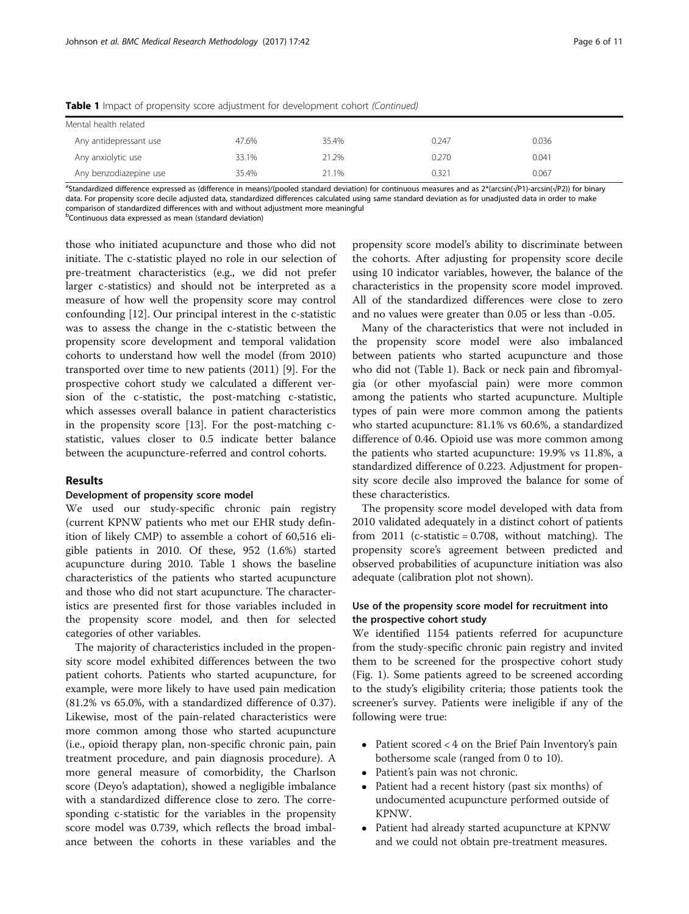| Mental health related  |       |       |       |       |  |
|------------------------|-------|-------|-------|-------|--|
| Any antidepressant use | 47.6% | 35.4% | 0.247 | 0.036 |  |
| Any anxiolytic use     | 33.1% | 21.2% | 0.270 | 0.041 |  |
| Any benzodiazepine use | 35.4% | 21.1% | 0.321 | 0.067 |  |

Table 1 Impact of propensity score adjustment for development cohort (Continued)

a Standardized difference expressed as (difference in means)/(pooled standard deviation) for continuous measures and as 2\*(arcsin(√P1)-arcsin(√P2)) for binary data. For propensity score decile adjusted data, standardized differences calculated using same standard deviation as for unadjusted data in order to make comparison of standardized differences with and without adjustment more meaningful

b Continuous data expressed as mean (standard deviation)

those who initiated acupuncture and those who did not initiate. The c-statistic played no role in our selection of pre-treatment characteristics (e.g., we did not prefer larger c-statistics) and should not be interpreted as a measure of how well the propensity score may control confounding [\[12](#page-10-0)]. Our principal interest in the c-statistic was to assess the change in the c-statistic between the propensity score development and temporal validation cohorts to understand how well the model (from 2010) transported over time to new patients (2011) [\[9](#page-10-0)]. For the prospective cohort study we calculated a different version of the c-statistic, the post-matching c-statistic, which assesses overall balance in patient characteristics in the propensity score [[13](#page-10-0)]. For the post-matching cstatistic, values closer to 0.5 indicate better balance between the acupuncture-referred and control cohorts.

#### Results

## Development of propensity score model

We used our study-specific chronic pain registry (current KPNW patients who met our EHR study definition of likely CMP) to assemble a cohort of 60,516 eligible patients in 2010. Of these, 952 (1.6%) started acupuncture during 2010. Table [1](#page-4-0) shows the baseline characteristics of the patients who started acupuncture and those who did not start acupuncture. The characteristics are presented first for those variables included in the propensity score model, and then for selected categories of other variables.

The majority of characteristics included in the propensity score model exhibited differences between the two patient cohorts. Patients who started acupuncture, for example, were more likely to have used pain medication (81.2% vs 65.0%, with a standardized difference of 0.37). Likewise, most of the pain-related characteristics were more common among those who started acupuncture (i.e., opioid therapy plan, non-specific chronic pain, pain treatment procedure, and pain diagnosis procedure). A more general measure of comorbidity, the Charlson score (Deyo's adaptation), showed a negligible imbalance with a standardized difference close to zero. The corresponding c-statistic for the variables in the propensity score model was 0.739, which reflects the broad imbalance between the cohorts in these variables and the

propensity score model's ability to discriminate between the cohorts. After adjusting for propensity score decile using 10 indicator variables, however, the balance of the characteristics in the propensity score model improved. All of the standardized differences were close to zero and no values were greater than 0.05 or less than -0.05.

Many of the characteristics that were not included in the propensity score model were also imbalanced between patients who started acupuncture and those who did not (Table [1\)](#page-4-0). Back or neck pain and fibromyalgia (or other myofascial pain) were more common among the patients who started acupuncture. Multiple types of pain were more common among the patients who started acupuncture: 81.1% vs 60.6%, a standardized difference of 0.46. Opioid use was more common among the patients who started acupuncture: 19.9% vs 11.8%, a standardized difference of 0.223. Adjustment for propensity score decile also improved the balance for some of these characteristics.

The propensity score model developed with data from 2010 validated adequately in a distinct cohort of patients from  $2011$  (c-statistic = 0.708, without matching). The propensity score's agreement between predicted and observed probabilities of acupuncture initiation was also adequate (calibration plot not shown).

# Use of the propensity score model for recruitment into the prospective cohort study

We identified 1154 patients referred for acupuncture from the study-specific chronic pain registry and invited them to be screened for the prospective cohort study (Fig. [1](#page-3-0)). Some patients agreed to be screened according to the study's eligibility criteria; those patients took the screener's survey. Patients were ineligible if any of the following were true:

- Patient scored < 4 on the Brief Pain Inventory's pain bothersome scale (ranged from 0 to 10).
- Patient's pain was not chronic.
- Patient had a recent history (past six months) of undocumented acupuncture performed outside of KPNW.
- Patient had already started acupuncture at KPNW and we could not obtain pre-treatment measures.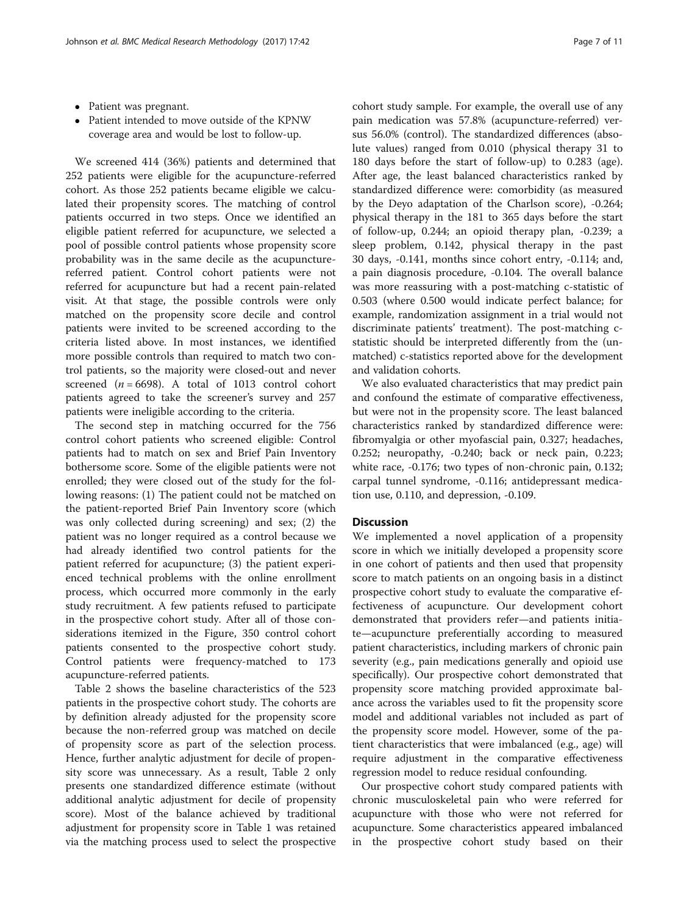- Patient was pregnant.
- Patient intended to move outside of the KPNW coverage area and would be lost to follow-up.

We screened 414 (36%) patients and determined that 252 patients were eligible for the acupuncture-referred cohort. As those 252 patients became eligible we calculated their propensity scores. The matching of control patients occurred in two steps. Once we identified an eligible patient referred for acupuncture, we selected a pool of possible control patients whose propensity score probability was in the same decile as the acupuncturereferred patient. Control cohort patients were not referred for acupuncture but had a recent pain-related visit. At that stage, the possible controls were only matched on the propensity score decile and control patients were invited to be screened according to the criteria listed above. In most instances, we identified more possible controls than required to match two control patients, so the majority were closed-out and never screened ( $n = 6698$ ). A total of 1013 control cohort patients agreed to take the screener's survey and 257 patients were ineligible according to the criteria.

The second step in matching occurred for the 756 control cohort patients who screened eligible: Control patients had to match on sex and Brief Pain Inventory bothersome score. Some of the eligible patients were not enrolled; they were closed out of the study for the following reasons: (1) The patient could not be matched on the patient-reported Brief Pain Inventory score (which was only collected during screening) and sex; (2) the patient was no longer required as a control because we had already identified two control patients for the patient referred for acupuncture; (3) the patient experienced technical problems with the online enrollment process, which occurred more commonly in the early study recruitment. A few patients refused to participate in the prospective cohort study. After all of those considerations itemized in the Figure, 350 control cohort patients consented to the prospective cohort study. Control patients were frequency-matched to 173 acupuncture-referred patients.

Table [2](#page-7-0) shows the baseline characteristics of the 523 patients in the prospective cohort study. The cohorts are by definition already adjusted for the propensity score because the non-referred group was matched on decile of propensity score as part of the selection process. Hence, further analytic adjustment for decile of propensity score was unnecessary. As a result, Table [2](#page-7-0) only presents one standardized difference estimate (without additional analytic adjustment for decile of propensity score). Most of the balance achieved by traditional adjustment for propensity score in Table [1](#page-4-0) was retained via the matching process used to select the prospective cohort study sample. For example, the overall use of any pain medication was 57.8% (acupuncture-referred) versus 56.0% (control). The standardized differences (absolute values) ranged from 0.010 (physical therapy 31 to 180 days before the start of follow-up) to 0.283 (age). After age, the least balanced characteristics ranked by standardized difference were: comorbidity (as measured by the Deyo adaptation of the Charlson score), -0.264; physical therapy in the 181 to 365 days before the start of follow-up, 0.244; an opioid therapy plan, -0.239; a sleep problem, 0.142, physical therapy in the past 30 days, -0.141, months since cohort entry, -0.114; and, a pain diagnosis procedure, -0.104. The overall balance was more reassuring with a post-matching c-statistic of 0.503 (where 0.500 would indicate perfect balance; for example, randomization assignment in a trial would not discriminate patients' treatment). The post-matching cstatistic should be interpreted differently from the (unmatched) c-statistics reported above for the development and validation cohorts.

We also evaluated characteristics that may predict pain and confound the estimate of comparative effectiveness, but were not in the propensity score. The least balanced characteristics ranked by standardized difference were: fibromyalgia or other myofascial pain, 0.327; headaches, 0.252; neuropathy, -0.240; back or neck pain, 0.223; white race, -0.176; two types of non-chronic pain, 0.132; carpal tunnel syndrome, -0.116; antidepressant medication use, 0.110, and depression, -0.109.

# **Discussion**

We implemented a novel application of a propensity score in which we initially developed a propensity score in one cohort of patients and then used that propensity score to match patients on an ongoing basis in a distinct prospective cohort study to evaluate the comparative effectiveness of acupuncture. Our development cohort demonstrated that providers refer—and patients initiate—acupuncture preferentially according to measured patient characteristics, including markers of chronic pain severity (e.g., pain medications generally and opioid use specifically). Our prospective cohort demonstrated that propensity score matching provided approximate balance across the variables used to fit the propensity score model and additional variables not included as part of the propensity score model. However, some of the patient characteristics that were imbalanced (e.g., age) will require adjustment in the comparative effectiveness regression model to reduce residual confounding.

Our prospective cohort study compared patients with chronic musculoskeletal pain who were referred for acupuncture with those who were not referred for acupuncture. Some characteristics appeared imbalanced in the prospective cohort study based on their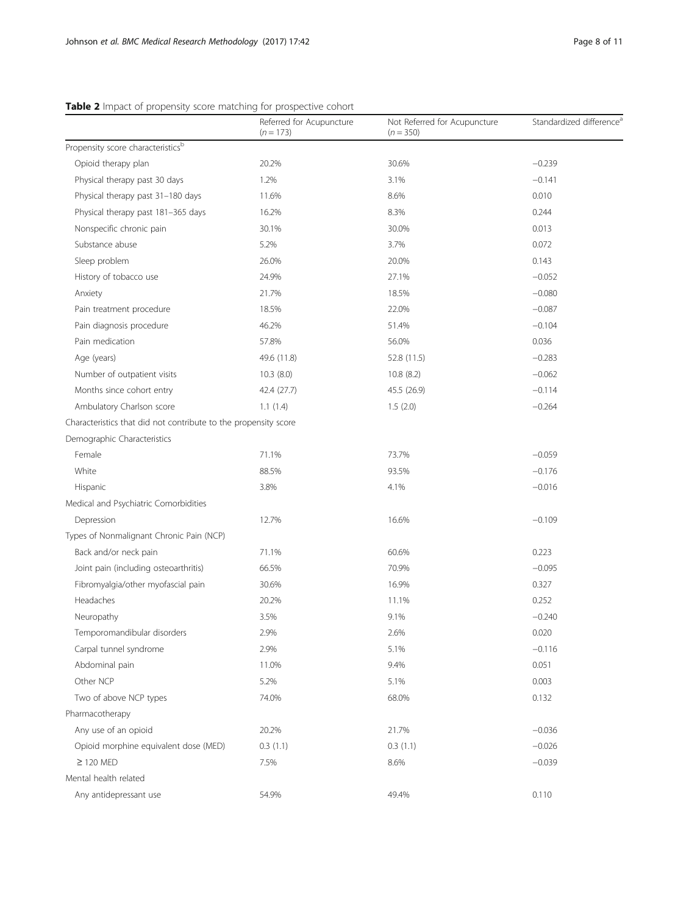# <span id="page-7-0"></span>Table 2 Impact of propensity score matching for prospective cohort

|                                                                 | Referred for Acupuncture<br>$(n = 173)$ | Not Referred for Acupuncture<br>$(n = 350)$ | Standardized difference <sup>a</sup> |
|-----------------------------------------------------------------|-----------------------------------------|---------------------------------------------|--------------------------------------|
| Propensity score characteristics <sup>b</sup>                   |                                         |                                             |                                      |
| Opioid therapy plan                                             | 20.2%                                   | 30.6%                                       | $-0.239$                             |
| Physical therapy past 30 days                                   | 1.2%                                    | 3.1%                                        | $-0.141$                             |
| Physical therapy past 31-180 days                               | 11.6%                                   | 8.6%                                        | 0.010                                |
| Physical therapy past 181-365 days                              | 16.2%                                   | 8.3%                                        | 0.244                                |
| Nonspecific chronic pain                                        | 30.1%                                   | 30.0%                                       | 0.013                                |
| Substance abuse                                                 | 5.2%                                    | 3.7%                                        | 0.072                                |
| Sleep problem                                                   | 26.0%                                   | 20.0%                                       | 0.143                                |
| History of tobacco use                                          | 24.9%                                   | 27.1%                                       | $-0.052$                             |
| Anxiety                                                         | 21.7%                                   | 18.5%                                       | $-0.080$                             |
| Pain treatment procedure                                        | 18.5%                                   | 22.0%                                       | $-0.087$                             |
| Pain diagnosis procedure                                        | 46.2%                                   | 51.4%                                       | $-0.104$                             |
| Pain medication                                                 | 57.8%                                   | 56.0%                                       | 0.036                                |
| Age (years)                                                     | 49.6 (11.8)                             | 52.8 (11.5)                                 | $-0.283$                             |
| Number of outpatient visits                                     | 10.3(8.0)                               | 10.8(8.2)                                   | $-0.062$                             |
| Months since cohort entry                                       | 42.4 (27.7)                             | 45.5 (26.9)                                 | $-0.114$                             |
| Ambulatory Charlson score                                       | 1.1(1.4)                                | 1.5(2.0)                                    | $-0.264$                             |
| Characteristics that did not contribute to the propensity score |                                         |                                             |                                      |
| Demographic Characteristics                                     |                                         |                                             |                                      |
| Female                                                          | 71.1%                                   | 73.7%                                       | $-0.059$                             |
| White                                                           | 88.5%                                   | 93.5%                                       | $-0.176$                             |
| Hispanic                                                        | 3.8%                                    | 4.1%                                        | $-0.016$                             |
| Medical and Psychiatric Comorbidities                           |                                         |                                             |                                      |
| Depression                                                      | 12.7%                                   | 16.6%                                       | $-0.109$                             |
| Types of Nonmalignant Chronic Pain (NCP)                        |                                         |                                             |                                      |
| Back and/or neck pain                                           | 71.1%                                   | 60.6%                                       | 0.223                                |
| Joint pain (including osteoarthritis)                           | 66.5%                                   | 70.9%                                       | $-0.095$                             |
| Fibromyalgia/other myofascial pain                              | 30.6%                                   | 16.9%                                       | 0.327                                |
| Headaches                                                       | 20.2%                                   | 11.1%                                       | 0.252                                |
| Neuropathy                                                      | 3.5%                                    | 9.1%                                        | $-0.240$                             |
| Temporomandibular disorders                                     | 2.9%                                    | 2.6%                                        | 0.020                                |
| Carpal tunnel syndrome                                          | 2.9%                                    | 5.1%                                        | $-0.116$                             |
| Abdominal pain                                                  | 11.0%                                   | 9.4%                                        | 0.051                                |
| Other NCP                                                       | 5.2%                                    | 5.1%                                        | 0.003                                |
| Two of above NCP types                                          | 74.0%                                   | 68.0%                                       | 0.132                                |
| Pharmacotherapy                                                 |                                         |                                             |                                      |
| Any use of an opioid                                            | 20.2%                                   | 21.7%                                       | $-0.036$                             |
| Opioid morphine equivalent dose (MED)                           | 0.3(1.1)                                | 0.3(1.1)                                    | $-0.026$                             |
| $\geq$ 120 MED                                                  | 7.5%                                    | 8.6%                                        | $-0.039$                             |
| Mental health related                                           |                                         |                                             |                                      |
| Any antidepressant use                                          | 54.9%                                   | 49.4%                                       | 0.110                                |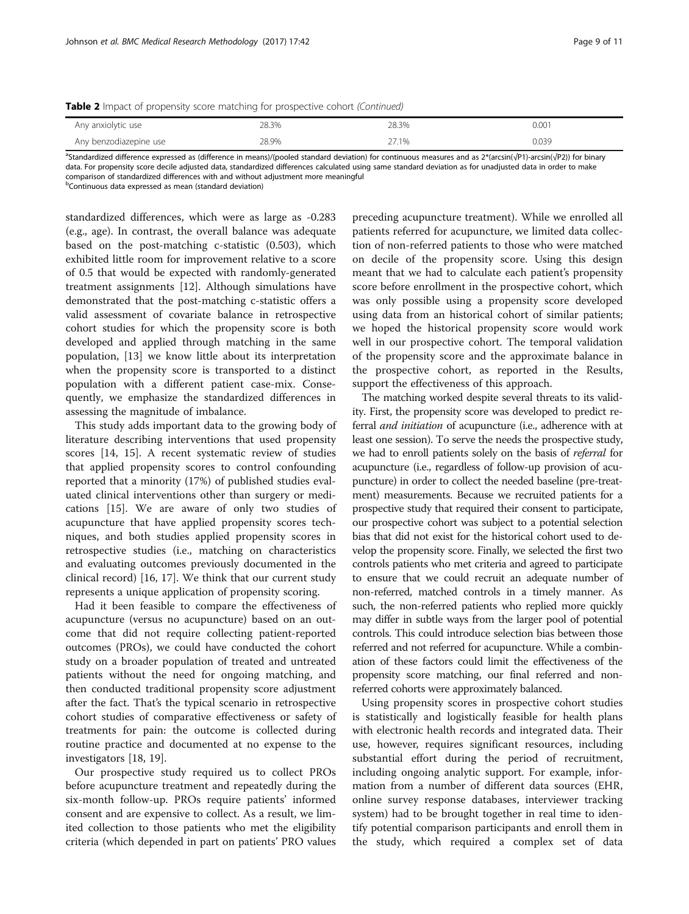Table 2 Impact of propensity score matching for prospective cohort (Continued)

| <sup>,</sup> anxiolytic use    | 28.3%<br>. | 28.3%<br>. | 0.001      |
|--------------------------------|------------|------------|------------|
| benzodiazepine use<br>Anv<br>. | 28.9%<br>. | 27.1%      | 0.039<br>. |

a Standardized difference expressed as (difference in means)/(pooled standard deviation) for continuous measures and as 2\*(arcsin(√P1)-arcsin(√P2)) for binary data. For propensity score decile adjusted data, standardized differences calculated using same standard deviation as for unadjusted data in order to make comparison of standardized differences with and without adjustment more meaningful

<sup>b</sup>Continuous data expressed as mean (standard deviation)

standardized differences, which were as large as -0.283 (e.g., age). In contrast, the overall balance was adequate based on the post-matching c-statistic (0.503), which exhibited little room for improvement relative to a score of 0.5 that would be expected with randomly-generated treatment assignments [\[12](#page-10-0)]. Although simulations have demonstrated that the post-matching c-statistic offers a valid assessment of covariate balance in retrospective cohort studies for which the propensity score is both developed and applied through matching in the same population, [\[13](#page-10-0)] we know little about its interpretation when the propensity score is transported to a distinct population with a different patient case-mix. Consequently, we emphasize the standardized differences in assessing the magnitude of imbalance.

This study adds important data to the growing body of literature describing interventions that used propensity scores [\[14, 15\]](#page-10-0). A recent systematic review of studies that applied propensity scores to control confounding reported that a minority (17%) of published studies evaluated clinical interventions other than surgery or medications [\[15](#page-10-0)]. We are aware of only two studies of acupuncture that have applied propensity scores techniques, and both studies applied propensity scores in retrospective studies (i.e., matching on characteristics and evaluating outcomes previously documented in the clinical record) [\[16](#page-10-0), [17](#page-10-0)]. We think that our current study represents a unique application of propensity scoring.

Had it been feasible to compare the effectiveness of acupuncture (versus no acupuncture) based on an outcome that did not require collecting patient-reported outcomes (PROs), we could have conducted the cohort study on a broader population of treated and untreated patients without the need for ongoing matching, and then conducted traditional propensity score adjustment after the fact. That's the typical scenario in retrospective cohort studies of comparative effectiveness or safety of treatments for pain: the outcome is collected during routine practice and documented at no expense to the investigators [\[18, 19\]](#page-10-0).

Our prospective study required us to collect PROs before acupuncture treatment and repeatedly during the six-month follow-up. PROs require patients' informed consent and are expensive to collect. As a result, we limited collection to those patients who met the eligibility criteria (which depended in part on patients' PRO values

preceding acupuncture treatment). While we enrolled all patients referred for acupuncture, we limited data collection of non-referred patients to those who were matched on decile of the propensity score. Using this design meant that we had to calculate each patient's propensity score before enrollment in the prospective cohort, which was only possible using a propensity score developed using data from an historical cohort of similar patients; we hoped the historical propensity score would work well in our prospective cohort. The temporal validation of the propensity score and the approximate balance in the prospective cohort, as reported in the Results, support the effectiveness of this approach.

The matching worked despite several threats to its validity. First, the propensity score was developed to predict referral and initiation of acupuncture (i.e., adherence with at least one session). To serve the needs the prospective study, we had to enroll patients solely on the basis of referral for acupuncture (i.e., regardless of follow-up provision of acupuncture) in order to collect the needed baseline (pre-treatment) measurements. Because we recruited patients for a prospective study that required their consent to participate, our prospective cohort was subject to a potential selection bias that did not exist for the historical cohort used to develop the propensity score. Finally, we selected the first two controls patients who met criteria and agreed to participate to ensure that we could recruit an adequate number of non-referred, matched controls in a timely manner. As such, the non-referred patients who replied more quickly may differ in subtle ways from the larger pool of potential controls. This could introduce selection bias between those referred and not referred for acupuncture. While a combination of these factors could limit the effectiveness of the propensity score matching, our final referred and nonreferred cohorts were approximately balanced.

Using propensity scores in prospective cohort studies is statistically and logistically feasible for health plans with electronic health records and integrated data. Their use, however, requires significant resources, including substantial effort during the period of recruitment, including ongoing analytic support. For example, information from a number of different data sources (EHR, online survey response databases, interviewer tracking system) had to be brought together in real time to identify potential comparison participants and enroll them in the study, which required a complex set of data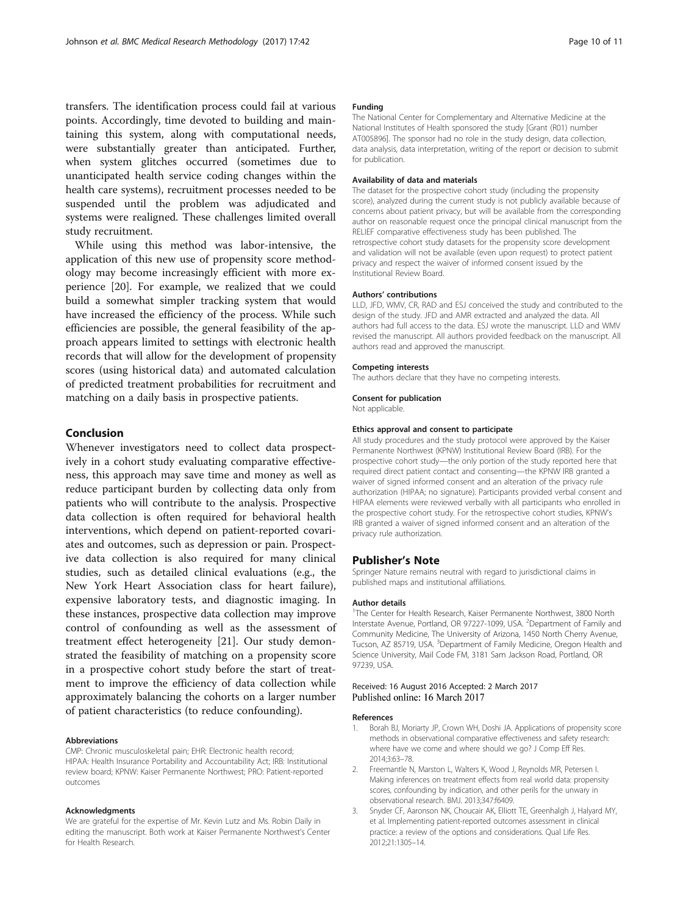<span id="page-9-0"></span>transfers. The identification process could fail at various points. Accordingly, time devoted to building and maintaining this system, along with computational needs, were substantially greater than anticipated. Further, when system glitches occurred (sometimes due to unanticipated health service coding changes within the health care systems), recruitment processes needed to be suspended until the problem was adjudicated and systems were realigned. These challenges limited overall study recruitment.

While using this method was labor-intensive, the application of this new use of propensity score methodology may become increasingly efficient with more experience [\[20\]](#page-10-0). For example, we realized that we could build a somewhat simpler tracking system that would have increased the efficiency of the process. While such efficiencies are possible, the general feasibility of the approach appears limited to settings with electronic health records that will allow for the development of propensity scores (using historical data) and automated calculation of predicted treatment probabilities for recruitment and matching on a daily basis in prospective patients.

# Conclusion

Whenever investigators need to collect data prospectively in a cohort study evaluating comparative effectiveness, this approach may save time and money as well as reduce participant burden by collecting data only from patients who will contribute to the analysis. Prospective data collection is often required for behavioral health interventions, which depend on patient-reported covariates and outcomes, such as depression or pain. Prospective data collection is also required for many clinical studies, such as detailed clinical evaluations (e.g., the New York Heart Association class for heart failure), expensive laboratory tests, and diagnostic imaging. In these instances, prospective data collection may improve control of confounding as well as the assessment of treatment effect heterogeneity [\[21\]](#page-10-0). Our study demonstrated the feasibility of matching on a propensity score in a prospective cohort study before the start of treatment to improve the efficiency of data collection while approximately balancing the cohorts on a larger number of patient characteristics (to reduce confounding).

#### Abbreviations

CMP: Chronic musculoskeletal pain; EHR: Electronic health record; HIPAA: Health Insurance Portability and Accountability Act; IRB: Institutional review board; KPNW: Kaiser Permanente Northwest; PRO: Patient-reported outcomes

#### Acknowledgments

We are grateful for the expertise of Mr. Kevin Lutz and Ms. Robin Daily in editing the manuscript. Both work at Kaiser Permanente Northwest's Center for Health Research.

#### Funding

The National Center for Complementary and Alternative Medicine at the National Institutes of Health sponsored the study [Grant (R01) number AT005896]. The sponsor had no role in the study design, data collection, data analysis, data interpretation, writing of the report or decision to submit for publication.

#### Availability of data and materials

The dataset for the prospective cohort study (including the propensity score), analyzed during the current study is not publicly available because of concerns about patient privacy, but will be available from the corresponding author on reasonable request once the principal clinical manuscript from the RELIEF comparative effectiveness study has been published. The retrospective cohort study datasets for the propensity score development and validation will not be available (even upon request) to protect patient privacy and respect the waiver of informed consent issued by the Institutional Review Board.

#### Authors' contributions

LLD, JFD, WMV, CR, RAD and ESJ conceived the study and contributed to the design of the study. JFD and AMR extracted and analyzed the data. All authors had full access to the data. ESJ wrote the manuscript. LLD and WMV revised the manuscript. All authors provided feedback on the manuscript. All authors read and approved the manuscript.

#### Competing interests

The authors declare that they have no competing interests.

#### Consent for publication

Not applicable.

#### Ethics approval and consent to participate

All study procedures and the study protocol were approved by the Kaiser Permanente Northwest (KPNW) Institutional Review Board (IRB). For the prospective cohort study—the only portion of the study reported here that required direct patient contact and consenting—the KPNW IRB granted a waiver of signed informed consent and an alteration of the privacy rule authorization (HIPAA; no signature). Participants provided verbal consent and HIPAA elements were reviewed verbally with all participants who enrolled in the prospective cohort study. For the retrospective cohort studies, KPNW's IRB granted a waiver of signed informed consent and an alteration of the privacy rule authorization.

### Publisher's Note

Springer Nature remains neutral with regard to jurisdictional claims in published maps and institutional affiliations.

#### Author details

<sup>1</sup>The Center for Health Research, Kaiser Permanente Northwest, 3800 North Interstate Avenue, Portland, OR 97227-1099, USA. <sup>2</sup>Department of Family and Community Medicine, The University of Arizona, 1450 North Cherry Avenue, Tucson, AZ 85719, USA. <sup>3</sup>Department of Family Medicine, Oregon Health and Science University, Mail Code FM, 3181 Sam Jackson Road, Portland, OR 97239, USA.

#### Received: 16 August 2016 Accepted: 2 March 2017 Published online: 16 March 2017

#### References

- Borah BJ, Moriarty JP, Crown WH, Doshi JA. Applications of propensity score methods in observational comparative effectiveness and safety research: where have we come and where should we go? J Comp Eff Res. 2014;3:63–78.
- 2. Freemantle N, Marston L, Walters K, Wood J, Reynolds MR, Petersen I. Making inferences on treatment effects from real world data: propensity scores, confounding by indication, and other perils for the unwary in observational research. BMJ. 2013;347:f6409.
- 3. Snyder CF, Aaronson NK, Choucair AK, Elliott TE, Greenhalgh J, Halyard MY, et al. Implementing patient-reported outcomes assessment in clinical practice: a review of the options and considerations. Qual Life Res. 2012;21:1305–14.